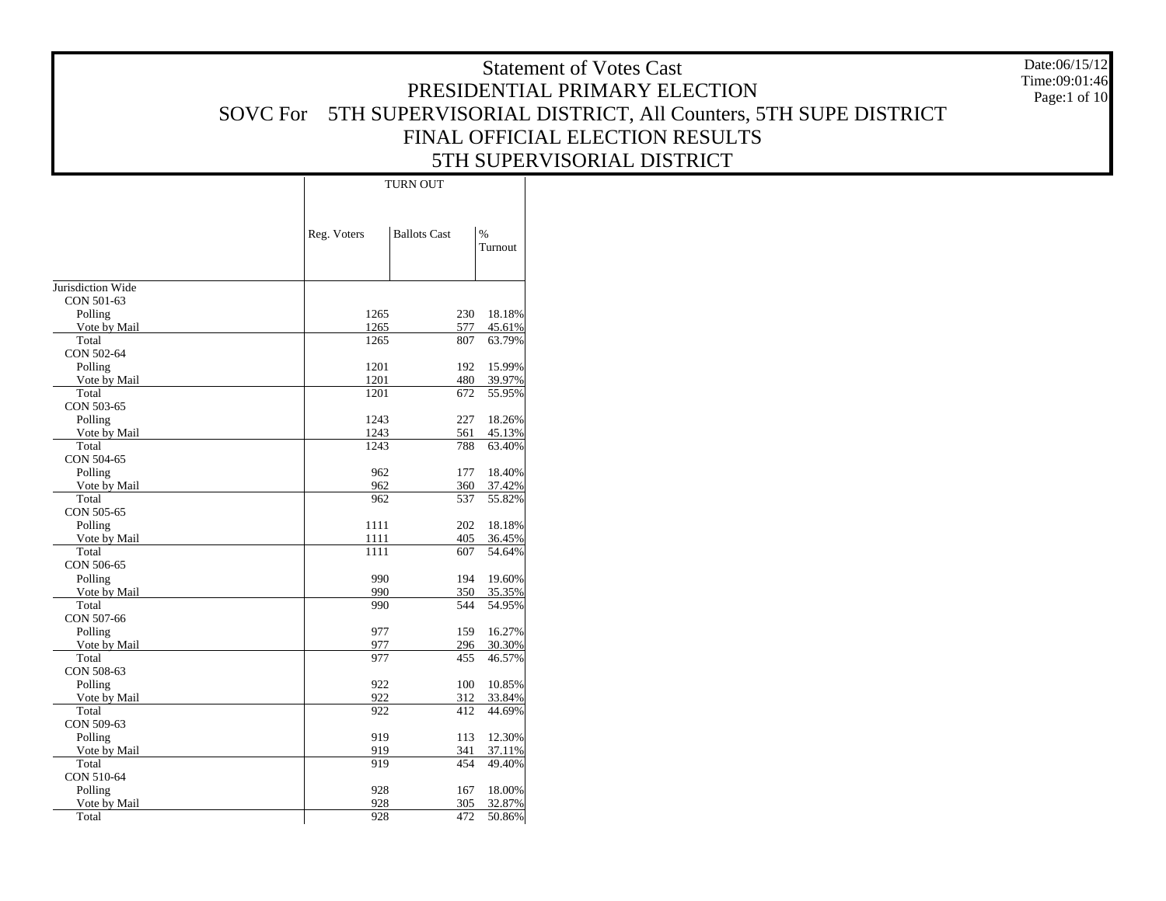Date:06/15/12 Time:09:01:46Page:1 of 10

|                     |             | <b>TURN OUT</b>     |                 |  |  |  |  |  |  |
|---------------------|-------------|---------------------|-----------------|--|--|--|--|--|--|
|                     | Reg. Voters | <b>Ballots Cast</b> | $\%$<br>Turnout |  |  |  |  |  |  |
|                     |             |                     |                 |  |  |  |  |  |  |
| Jurisdiction Wide   |             |                     |                 |  |  |  |  |  |  |
| CON 501-63          |             |                     |                 |  |  |  |  |  |  |
| Polling             | 1265        | 230                 | 18.18%          |  |  |  |  |  |  |
| Vote by Mail        | 1265        | 577                 | 45.61%          |  |  |  |  |  |  |
| Total               | 1265        | 807                 | 63.79%          |  |  |  |  |  |  |
| CON 502-64          |             |                     |                 |  |  |  |  |  |  |
| Polling             | 1201        | 192                 | 15.99%          |  |  |  |  |  |  |
| Vote by Mail        | 1201        | 480                 | 39.97%          |  |  |  |  |  |  |
| Total               | 1201        | 672                 | 55.95%          |  |  |  |  |  |  |
| CON 503-65          |             |                     |                 |  |  |  |  |  |  |
| Polling             | 1243        | 227                 | 18.26%          |  |  |  |  |  |  |
| Vote by Mail        | 1243        | 561                 | 45.13%          |  |  |  |  |  |  |
| Total               | 1243        | 788                 | 63.40%          |  |  |  |  |  |  |
| CON 504-65          |             |                     |                 |  |  |  |  |  |  |
| Polling             | 962         | 177                 | 18.40%          |  |  |  |  |  |  |
| Vote by Mail        | 962         | 360                 | 37.42%          |  |  |  |  |  |  |
| Total<br>CON 505-65 | 962         | 537                 | 55.82%          |  |  |  |  |  |  |
| Polling             | 1111        | 202                 | 18.18%          |  |  |  |  |  |  |
| Vote by Mail        | 1111        | 405                 | 36.45%          |  |  |  |  |  |  |
| Total               | 1111        | 607                 | 54.64%          |  |  |  |  |  |  |
| CON 506-65          |             |                     |                 |  |  |  |  |  |  |
| Polling             | 990         | 194                 | 19.60%          |  |  |  |  |  |  |
| Vote by Mail        | 990         | 350                 | 35.35%          |  |  |  |  |  |  |
| Total               | 990         | 544                 | 54.95%          |  |  |  |  |  |  |
| CON 507-66          |             |                     |                 |  |  |  |  |  |  |
| Polling             | 977         | 159                 | 16.27%          |  |  |  |  |  |  |
| Vote by Mail        | 977         | 296                 | 30.30%          |  |  |  |  |  |  |
| Total               | 977         | 455                 | 46.57%          |  |  |  |  |  |  |
| CON 508-63          |             |                     |                 |  |  |  |  |  |  |
| Polling             | 922         | 100                 | 10.85%          |  |  |  |  |  |  |
| Vote by Mail        | 922         | 312                 | 33.84%          |  |  |  |  |  |  |
| Total               | 922         | 412                 | 44.69%          |  |  |  |  |  |  |
| CON 509-63          |             |                     |                 |  |  |  |  |  |  |
| Polling             | 919         | 113                 | 12.30%          |  |  |  |  |  |  |
| Vote by Mail        | 919         | 341                 | 37.11%          |  |  |  |  |  |  |
| Total               | 919         | 454                 | 49.40%          |  |  |  |  |  |  |
| CON 510-64          |             |                     |                 |  |  |  |  |  |  |
| Polling             | 928         | 167                 | 18.00%          |  |  |  |  |  |  |
| Vote by Mail        | 928         | 305                 | 32.87%          |  |  |  |  |  |  |
| Total               | 928         | 472                 | 50.86%          |  |  |  |  |  |  |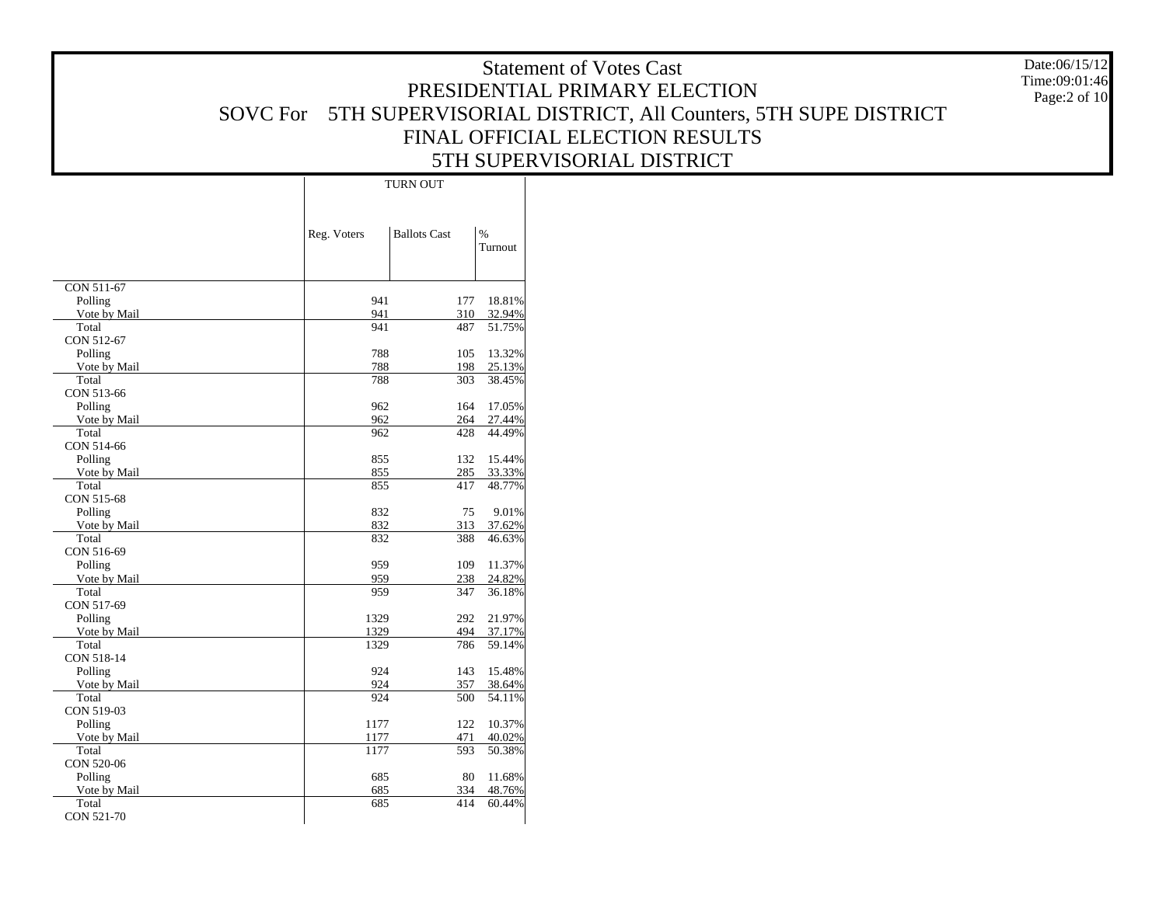|              |             | <b>TURN OUT</b>     |               |
|--------------|-------------|---------------------|---------------|
|              |             |                     |               |
|              | Reg. Voters | <b>Ballots Cast</b> | $\frac{0}{0}$ |
|              |             |                     | Turnout       |
|              |             |                     |               |
|              |             |                     |               |
| CON 511-67   |             |                     |               |
| Polling      | 941         | 177                 | 18.81%        |
| Vote by Mail | 941         | 310                 | 32.94%        |
| Total        | 941         | 487                 | 51.75%        |
| CON 512-67   |             |                     |               |
| Polling      | 788         | 105                 | 13.32%        |
| Vote by Mail | 788         | 198                 | 25.13%        |
| Total        | 788         | 303                 | 38.45%        |
| CON 513-66   |             |                     |               |
| Polling      | 962         | 164                 | 17.05%        |
| Vote by Mail | 962         | 264                 | 27.44%        |
| Total        | 962         | 428                 | 44.49%        |
| CON 514-66   |             |                     |               |
| Polling      | 855         | 132                 | 15.44%        |
| Vote by Mail | 855         | 285                 | 33.33%        |
| Total        | 855         | 417                 | 48.77%        |
| CON 515-68   |             |                     |               |
| Polling      | 832         | 75                  | 9.01%         |
| Vote by Mail | 832         | 313                 | 37.62%        |
| Total        | 832         | 388                 | 46.63%        |
| CON 516-69   |             |                     |               |
| Polling      | 959         | 109                 | 11.37%        |
| Vote by Mail | 959         | 238                 | 24.82%        |
| Total        | 959         | 347                 | 36.18%        |
| CON 517-69   |             |                     |               |
| Polling      | 1329        | 292                 | 21.97%        |
| Vote by Mail | 1329        | 494                 | 37.17%        |
| Total        | 1329        | 786                 | 59.14%        |
| CON 518-14   |             |                     |               |
| Polling      | 924         | 143                 | 15.48%        |
| Vote by Mail | 924         | 357                 | 38.64%        |
| Total        | 924         | 500                 | 54.11%        |
| CON 519-03   |             |                     |               |
| Polling      | 1177        | 122                 | 10.37%        |
| Vote by Mail | 1177        | 471                 | 40.02%        |
| Total        | 1177        | 593                 | 50.38%        |
| CON 520-06   |             |                     |               |
| Polling      | 685         | 80                  | 11.68%        |
| Vote by Mail | 685         | 334                 | 48.76%        |
| Total        | 685         | 414                 | 60.44%        |
| CON 521-70   |             |                     |               |

Date:06/15/12 Time:09:01:46Page:2 of 10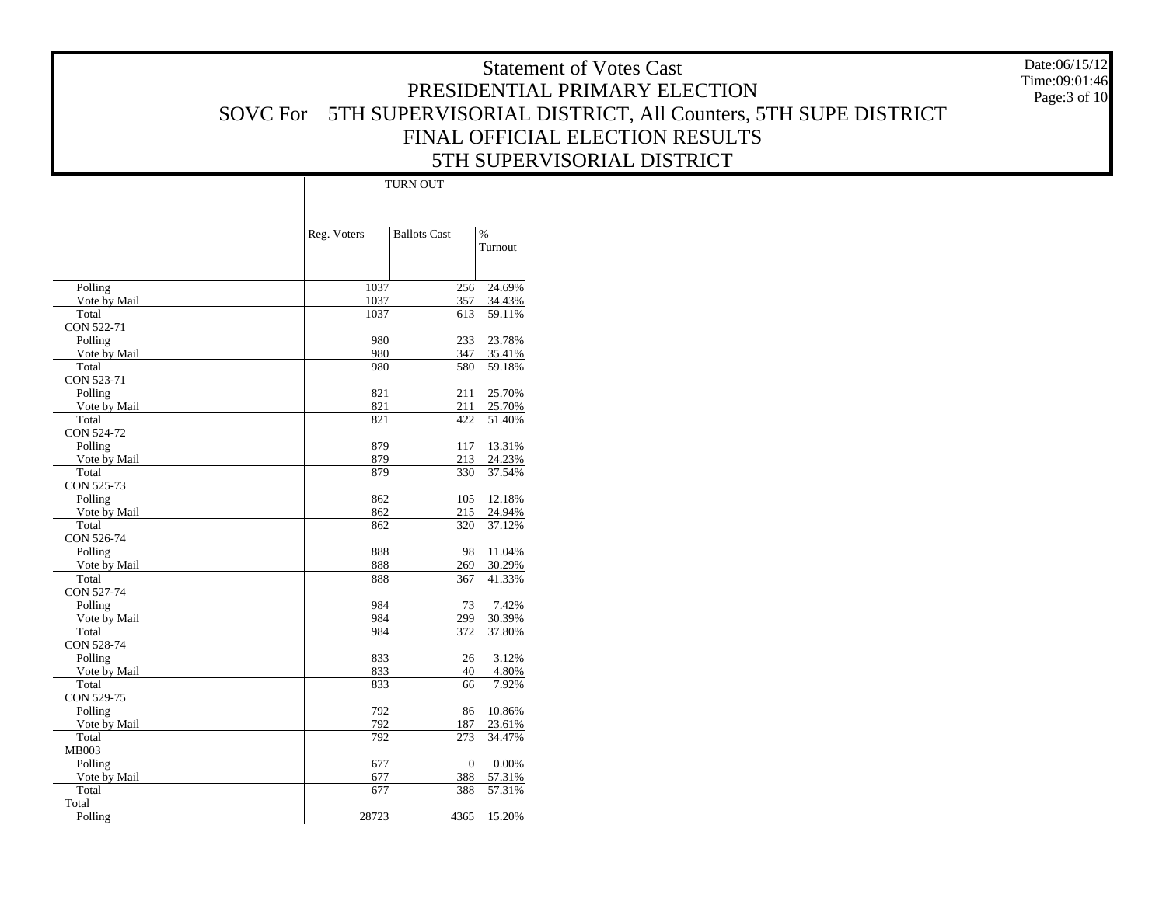|                         | <b>TURN OUT</b> |                     |                  |  |  |  |  |  |  |
|-------------------------|-----------------|---------------------|------------------|--|--|--|--|--|--|
|                         | Reg. Voters     | <b>Ballots Cast</b> | $\%$<br>Turnout  |  |  |  |  |  |  |
|                         |                 |                     |                  |  |  |  |  |  |  |
|                         |                 |                     |                  |  |  |  |  |  |  |
| Polling                 | 1037            | 256                 | 24.69%           |  |  |  |  |  |  |
| Vote by Mail            | 1037            | 357                 | 34.43%           |  |  |  |  |  |  |
| Total                   | 1037            | 613                 | 59.11%           |  |  |  |  |  |  |
| CON 522-71              |                 |                     | 23.78%           |  |  |  |  |  |  |
| Polling                 | 980<br>980      | 233<br>347          |                  |  |  |  |  |  |  |
| Vote by Mail<br>Total   | 980             | 580                 | 35.41%<br>59.18% |  |  |  |  |  |  |
| CON 523-71              |                 |                     |                  |  |  |  |  |  |  |
| Polling                 | 821             | 211                 | 25.70%           |  |  |  |  |  |  |
| Vote by Mail            | 821             | 211                 | 25.70%           |  |  |  |  |  |  |
| Total                   | 821             | 422                 | 51.40%           |  |  |  |  |  |  |
| CON 524-72              |                 |                     |                  |  |  |  |  |  |  |
| Polling                 | 879             | 117                 | 13.31%           |  |  |  |  |  |  |
| Vote by Mail            | 879             | 213                 | 24.23%           |  |  |  |  |  |  |
| Total                   | 879             | 330                 | 37.54%           |  |  |  |  |  |  |
| CON 525-73              |                 |                     |                  |  |  |  |  |  |  |
| Polling                 | 862             | 105                 | 12.18%           |  |  |  |  |  |  |
| Vote by Mail            | 862             | 215                 | 24.94%           |  |  |  |  |  |  |
| Total                   | 862             | 320                 | 37.12%           |  |  |  |  |  |  |
| CON 526-74              |                 |                     |                  |  |  |  |  |  |  |
| Polling                 | 888             | 98                  | 11.04%           |  |  |  |  |  |  |
| Vote by Mail            | 888             | 269                 | 30.29%           |  |  |  |  |  |  |
| Total                   | 888             | 367                 | 41.33%           |  |  |  |  |  |  |
| CON 527-74              |                 |                     |                  |  |  |  |  |  |  |
| Polling                 | 984             | 73                  | 7.42%            |  |  |  |  |  |  |
| Vote by Mail            | 984             | 299                 | 30.39%           |  |  |  |  |  |  |
| Total<br>CON 528-74     | 984             | 372                 | 37.80%           |  |  |  |  |  |  |
|                         | 833             | 26                  | 3.12%            |  |  |  |  |  |  |
| Polling<br>Vote by Mail | 833             | 40                  | 4.80%            |  |  |  |  |  |  |
| Total                   | 833             | 66                  | 7.92%            |  |  |  |  |  |  |
| CON 529-75              |                 |                     |                  |  |  |  |  |  |  |
| Polling                 | 792             | 86                  | 10.86%           |  |  |  |  |  |  |
| Vote by Mail            | 792             | 187                 | 23.61%           |  |  |  |  |  |  |
| Total                   | 792             | 273                 | 34.47%           |  |  |  |  |  |  |
| MB003                   |                 |                     |                  |  |  |  |  |  |  |
| Polling                 | 677             | $\mathbf{0}$        | 0.00%            |  |  |  |  |  |  |
| Vote by Mail            | 677             | 388                 | 57.31%           |  |  |  |  |  |  |
| Total                   | 677             | 388                 | 57.31%           |  |  |  |  |  |  |
| Total                   |                 |                     |                  |  |  |  |  |  |  |
| Polling                 | 28723           | 4365                | 15.20%           |  |  |  |  |  |  |

Date:06/15/12 Time:09:01:46Page:3 of 10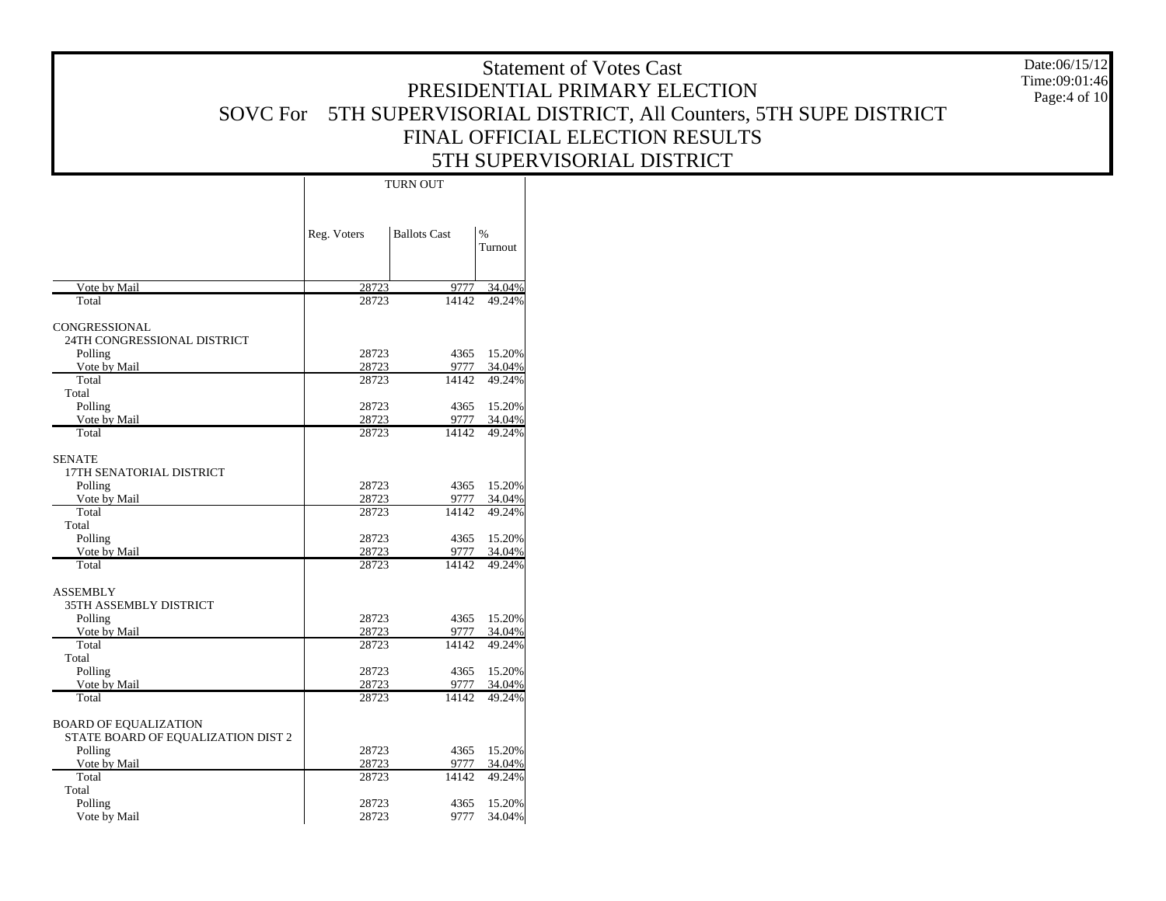Date:06/15/12 Time:09:01:46Page:4 of 10

|                                                                    |                | TURN OUT            |                          |
|--------------------------------------------------------------------|----------------|---------------------|--------------------------|
|                                                                    | Reg. Voters    | <b>Ballots Cast</b> | $\frac{0}{0}$<br>Turnout |
| Vote by Mail                                                       | 28723          | 9777                | 34.04%                   |
| Total                                                              | 28723          | 14142               | 49.24%                   |
| CONGRESSIONAL<br>24TH CONGRESSIONAL DISTRICT<br>Polling            | 28723          | 4365                | 15.20%                   |
| Vote by Mail                                                       | 28723          | 9777                | 34.04%                   |
| Total                                                              | 28723          | 14142               | 49.24%                   |
| Total                                                              |                |                     |                          |
| Polling                                                            | 28723          | 4365                | 15.20%                   |
| Vote by Mail                                                       | 28723          | 9777                | 34.04%                   |
| Total                                                              | 28723          | 14142               | 49.24%                   |
| <b>SENATE</b><br>17TH SENATORIAL DISTRICT                          |                |                     |                          |
| Polling                                                            | 28723          | 4365                | 15.20%                   |
| Vote by Mail                                                       | 28723          | 9777                | 34.04%                   |
| Total                                                              | 28723          | 14142               | 49.24%                   |
| Total                                                              |                |                     |                          |
| Polling                                                            | 28723          | 4365                | 15.20%                   |
| Vote by Mail<br>Total                                              | 28723<br>28723 | 9777<br>14142       | 34.04%<br>49.24%         |
|                                                                    |                |                     |                          |
| ASSEMBLY<br>35TH ASSEMBLY DISTRICT                                 |                |                     |                          |
| Polling                                                            | 28723          | 4365                | 15.20%                   |
| Vote by Mail<br>Total                                              | 28723<br>28723 | 9777<br>14142       | 34.04%<br>49.24%         |
| Total                                                              |                |                     |                          |
| Polling                                                            | 28723          | 4365                | 15.20%                   |
| Vote by Mail                                                       | 28723          | 9777                | 34.04%                   |
| Total                                                              | 28723          | 14142               | 49.24%                   |
| <b>BOARD OF EQUALIZATION</b><br>STATE BOARD OF EQUALIZATION DIST 2 |                |                     |                          |
| Polling                                                            | 28723          | 4365                | 15.20%                   |
| Vote by Mail                                                       | 28723          | 9777                | 34.04%                   |
| Total                                                              | 28723          | 14142               | 49.24%                   |
| Total                                                              |                |                     |                          |
| Polling                                                            | 28723          | 4365                | 15.20%                   |
| Vote by Mail                                                       | 28723          | 9777                | 34.04%                   |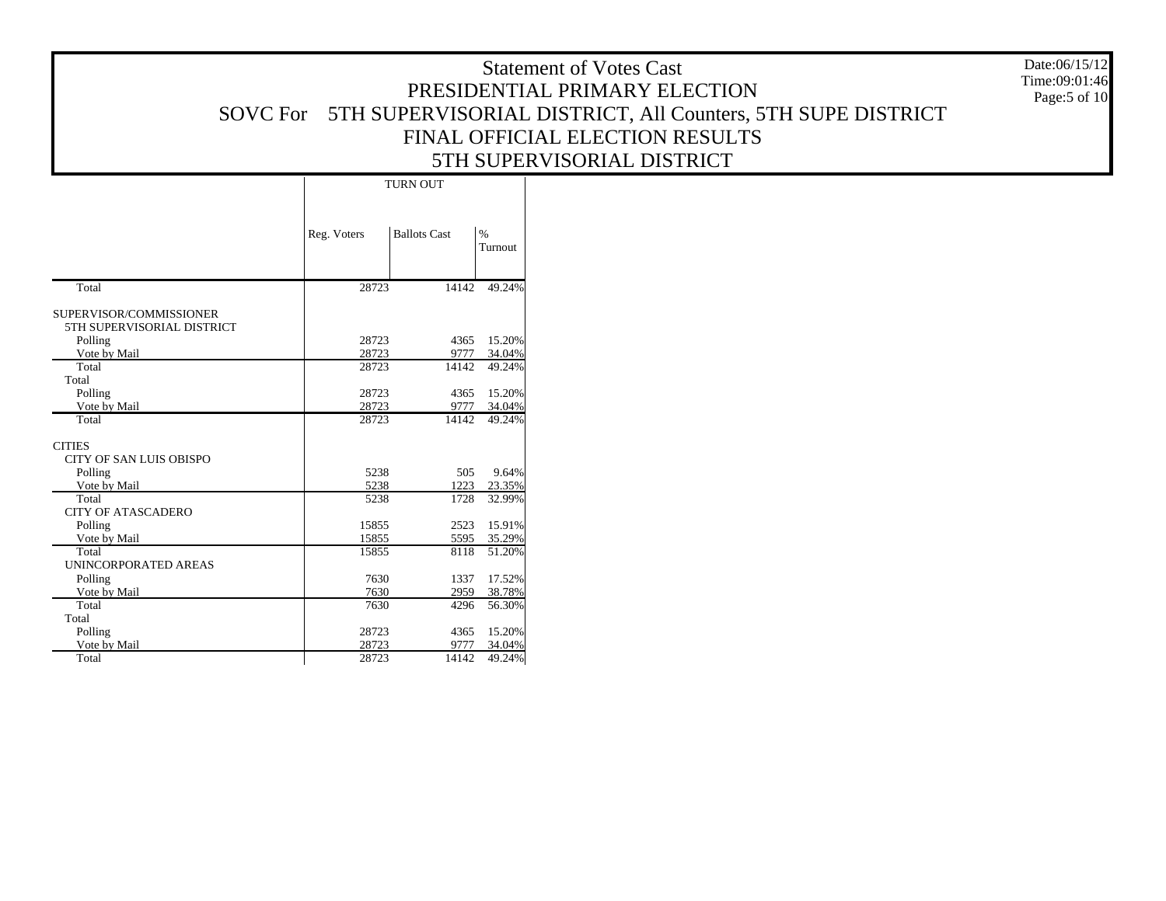Date:06/15/12 Time:09:01:46Page:5 of 10

|                                                       |             | <b>TURN OUT</b>     |                          |
|-------------------------------------------------------|-------------|---------------------|--------------------------|
|                                                       | Reg. Voters | <b>Ballots Cast</b> | $\frac{0}{0}$<br>Turnout |
| Total                                                 | 28723       | 14142               | 49.24%                   |
| SUPERVISOR/COMMISSIONER<br>5TH SUPERVISORIAL DISTRICT |             |                     |                          |
| Polling                                               | 28723       | 4365                | 15.20%                   |
| Vote by Mail                                          | 28723       | 9777                | 34.04%                   |
| Total<br>Total                                        | 28723       | 14142               | 49.24%                   |
| Polling                                               | 28723       | 4365                | 15.20%                   |
| Vote by Mail                                          | 28723       | 9777                | 34.04%                   |
| Total                                                 | 28723       | 14142               | 49.24%                   |
| <b>CITIES</b>                                         |             |                     |                          |
| <b>CITY OF SAN LUIS OBISPO</b>                        |             |                     |                          |
| Polling                                               | 5238        | 505                 | 9.64%                    |
| Vote by Mail                                          | 5238        | 1223                | 23.35%                   |
| Total                                                 | 5238        | 1728                | 32.99%                   |
| <b>CITY OF ATASCADERO</b>                             |             |                     |                          |
| Polling                                               | 15855       | 2523                | 15.91%                   |
| Vote by Mail                                          | 15855       | 5595                | 35.29%                   |
| Total                                                 | 15855       | 8118                | 51.20%                   |
| UNINCORPORATED AREAS                                  |             |                     |                          |
| Polling                                               | 7630        | 1337                | 17.52%                   |
| Vote by Mail                                          | 7630        | 2959                | 38.78%                   |
| Total                                                 | 7630        | 4296                | 56.30%                   |
| Total                                                 |             |                     |                          |
| Polling                                               | 28723       | 4365                | 15.20%                   |
| Vote by Mail                                          | 28723       | 9777                | 34.04%                   |
| Total                                                 | 28723       | 14142               | 49.24%                   |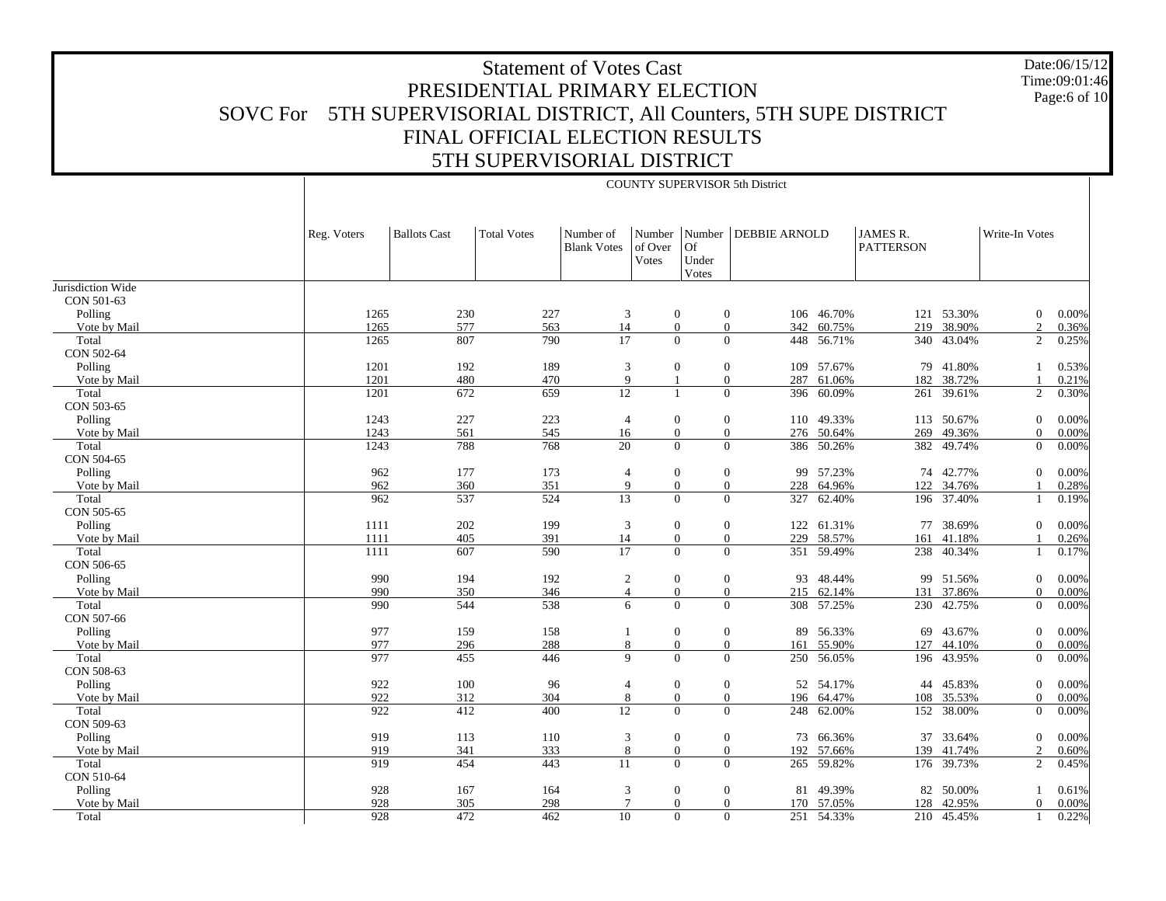Date:06/15/12 Time:09:01:46Page:6 of 10

|                   |             | COUNTY SUPERVISOR 5th District |                    |                                 |                            |                             |                         |            |                              |            |                |       |  |
|-------------------|-------------|--------------------------------|--------------------|---------------------------------|----------------------------|-----------------------------|-------------------------|------------|------------------------------|------------|----------------|-------|--|
|                   | Reg. Voters | <b>Ballots Cast</b>            | <b>Total Votes</b> | Number of<br><b>Blank Votes</b> | Number<br>of Over<br>Votes | <b>Of</b><br>Under<br>Votes | Number DEBBIE ARNOLD    |            | JAMES R.<br><b>PATTERSON</b> |            | Write-In Votes |       |  |
| Jurisdiction Wide |             |                                |                    |                                 |                            |                             |                         |            |                              |            |                |       |  |
| CON 501-63        |             |                                |                    |                                 |                            |                             |                         |            |                              |            |                |       |  |
| Polling           | 1265        | 230                            | 227                | 3                               | $\boldsymbol{0}$           |                             | $\boldsymbol{0}$        | 106 46.70% |                              | 121 53.30% | $\mathbf{0}$   | 0.00% |  |
| Vote by Mail      | 1265        | 577                            | 563                | 14                              | $\overline{0}$             |                             | $\boldsymbol{0}$<br>342 | 60.75%     | 219                          | 38.90%     | $\overline{2}$ | 0.36% |  |
| Total             | 1265        | 807                            | 790                | 17                              | $\Omega$                   |                             | $\Omega$<br>448         | 56.71%     | 340                          | 43.04%     | $\overline{2}$ | 0.25% |  |
| CON 502-64        |             |                                |                    |                                 |                            |                             |                         |            |                              |            |                |       |  |
| Polling           | 1201        | 192                            | 189                | 3                               | $\mathbf{0}$               |                             | $\boldsymbol{0}$<br>109 | 57.67%     | 79                           | 41.80%     |                | 0.53% |  |
| Vote by Mail      | 1201        | 480                            | 470                | 9                               |                            |                             | $\mathbf{0}$<br>287     | 61.06%     | 182                          | 38.72%     | $\mathbf{1}$   | 0.21% |  |
| Total             | 1201        | 672                            | 659                | 12                              |                            |                             | $\mathbf{0}$<br>396     | 60.09%     | 261                          | 39.61%     | $\overline{2}$ | 0.30% |  |
| CON 503-65        |             |                                |                    |                                 |                            |                             |                         |            |                              |            |                |       |  |
| Polling           | 1243        | 227                            | 223                | $\overline{4}$                  | $\overline{0}$             |                             | $\mathbf{0}$            | 110 49.33% |                              | 113 50.67% | $\overline{0}$ | 0.00% |  |
| Vote by Mail      | 1243        | 561                            | 545                | 16                              |                            | $\overline{0}$              | $\boldsymbol{0}$        | 276 50.64% | 269                          | 49.36%     | $\overline{0}$ | 0.00% |  |
| Total             | 1243        | 788                            | 768                | 20                              |                            | $\Omega$                    | $\mathbf{0}$            | 386 50.26% |                              | 382 49.74% | $\mathbf{0}$   | 0.00% |  |
| CON 504-65        |             |                                |                    |                                 |                            |                             |                         |            |                              |            |                |       |  |
| Polling           | 962         | 177                            | 173                | 4                               | $\boldsymbol{0}$           |                             | $\boldsymbol{0}$<br>99  | 57.23%     | 74                           | 42.77%     | $\mathbf{0}$   | 0.00% |  |
| Vote by Mail      | 962         | 360                            | 351                | 9                               | $\overline{0}$             |                             | $\mathbf{0}$<br>228     | 64.96%     | 122                          | 34.76%     |                | 0.28% |  |
| Total             | 962         | 537                            | 524                | 13                              | $\Omega$                   |                             | $\Omega$<br>327         | 62.40%     |                              | 196 37.40% | 1              | 0.19% |  |
| CON 505-65        |             |                                |                    |                                 |                            |                             |                         |            |                              |            |                |       |  |
| Polling           | 1111        | 202                            | 199                | $\mathfrak{Z}$                  | $\mathbf{0}$               |                             | $\boldsymbol{0}$        | 122 61.31% | 77                           | 38.69%     | $\overline{0}$ | 0.00% |  |
| Vote by Mail      | 1111        | 405                            | 391                | 14                              | $\overline{0}$             |                             | $\mathbf{0}$<br>229     | 58.57%     | 161                          | 41.18%     |                | 0.26% |  |
| Total             | 1111        | 607                            | 590                | 17                              | $\Omega$                   |                             | $\mathbf{0}$            | 351 59.49% |                              | 238 40.34% |                | 0.17% |  |
| CON 506-65        |             |                                |                    |                                 |                            |                             |                         |            |                              |            |                |       |  |
| Polling           | 990         | 194                            | 192                | $\overline{2}$                  | $\overline{0}$             |                             | $\mathbf{0}$<br>93      | 48.44%     |                              | 99 51.56%  | $\overline{0}$ | 0.00% |  |
| Vote by Mail      | 990         | 350                            | 346                | $\overline{4}$                  |                            | $\overline{0}$              | $\boldsymbol{0}$<br>215 | 62.14%     | 131                          | 37.86%     | $\overline{0}$ | 0.00% |  |
| Total             | 990         | 544                            | 538                | 6                               | $\Omega$                   |                             | $\Omega$<br>308         | 57.25%     | 230                          | 42.75%     | $\overline{0}$ | 0.00% |  |
| CON 507-66        |             |                                |                    |                                 |                            |                             |                         |            |                              |            |                |       |  |
| Polling           | 977         | 159                            | 158                | $\mathbf{1}$                    | $\mathbf{0}$               |                             | $\boldsymbol{0}$<br>89  | 56.33%     | 69                           | 43.67%     | $\mathbf{0}$   | 0.00% |  |
| Vote by Mail      | 977         | 296                            | 288                | 8                               | $\overline{0}$             |                             | $\mathbf{0}$<br>161     | 55.90%     | 127                          | 44.10%     | $\overline{0}$ | 0.00% |  |
| Total             | 977         | 455                            | 446                | 9                               | $\Omega$                   |                             | $\Omega$<br>250         | 56.05%     | 196                          | 43.95%     | $\overline{0}$ | 0.00% |  |
| CON 508-63        |             |                                |                    |                                 |                            |                             |                         |            |                              |            |                |       |  |
| Polling           | 922         | 100                            | 96                 | $\overline{4}$                  | $\mathbf{0}$               |                             | $\mathbf{0}$            | 52 54.17%  | 44                           | 45.83%     | $\overline{0}$ | 0.00% |  |
| Vote by Mail      | 922         | 312                            | 304                | 8                               | $\overline{0}$             |                             | $\mathbf{0}$<br>196     | 64.47%     | 108                          | 35.53%     | $\overline{0}$ | 0.00% |  |
| Total             | 922         | 412                            | 400                | 12                              | $\Omega$                   |                             | $\mathbf{0}$<br>248     | 62.00%     | 152                          | 38.00%     | $\overline{0}$ | 0.00% |  |
| CON 509-63        |             |                                |                    |                                 |                            |                             |                         |            |                              |            |                |       |  |
| Polling           | 919         | 113                            | 110                | 3                               | $\mathbf{0}$               |                             | $\boldsymbol{0}$<br>73  | 66.36%     | 37                           | 33.64%     | $\overline{0}$ | 0.00% |  |
| Vote by Mail      | 919         | 341                            | 333                | 8                               | $\overline{0}$             |                             | $\boldsymbol{0}$<br>192 | 57.66%     | 139                          | 41.74%     | $\overline{c}$ | 0.60% |  |
| Total             | 919         | 454                            | 443                | 11                              | $\Omega$                   |                             | $\theta$<br>265         | 59.82%     | 176                          | 39.73%     | 2              | 0.45% |  |
| CON 510-64        |             |                                |                    |                                 |                            |                             |                         |            |                              |            |                |       |  |
| Polling           | 928         | 167                            | 164                | 3                               | $\mathbf{0}$               |                             | $\mathbf{0}$<br>81      | 49.39%     | 82                           | 50.00%     |                | 0.61% |  |
| Vote by Mail      | 928         | 305                            | 298                | $\tau$                          | $\overline{0}$             |                             | $\mathbf{0}$<br>170     | 57.05%     | 128                          | 42.95%     | $\Omega$       | 0.00% |  |
| Total             | 928         | 472                            | 462                | 10                              | $\theta$                   |                             | $\mathbf{0}$            | 251 54.33% |                              | 210 45.45% |                | 0.22% |  |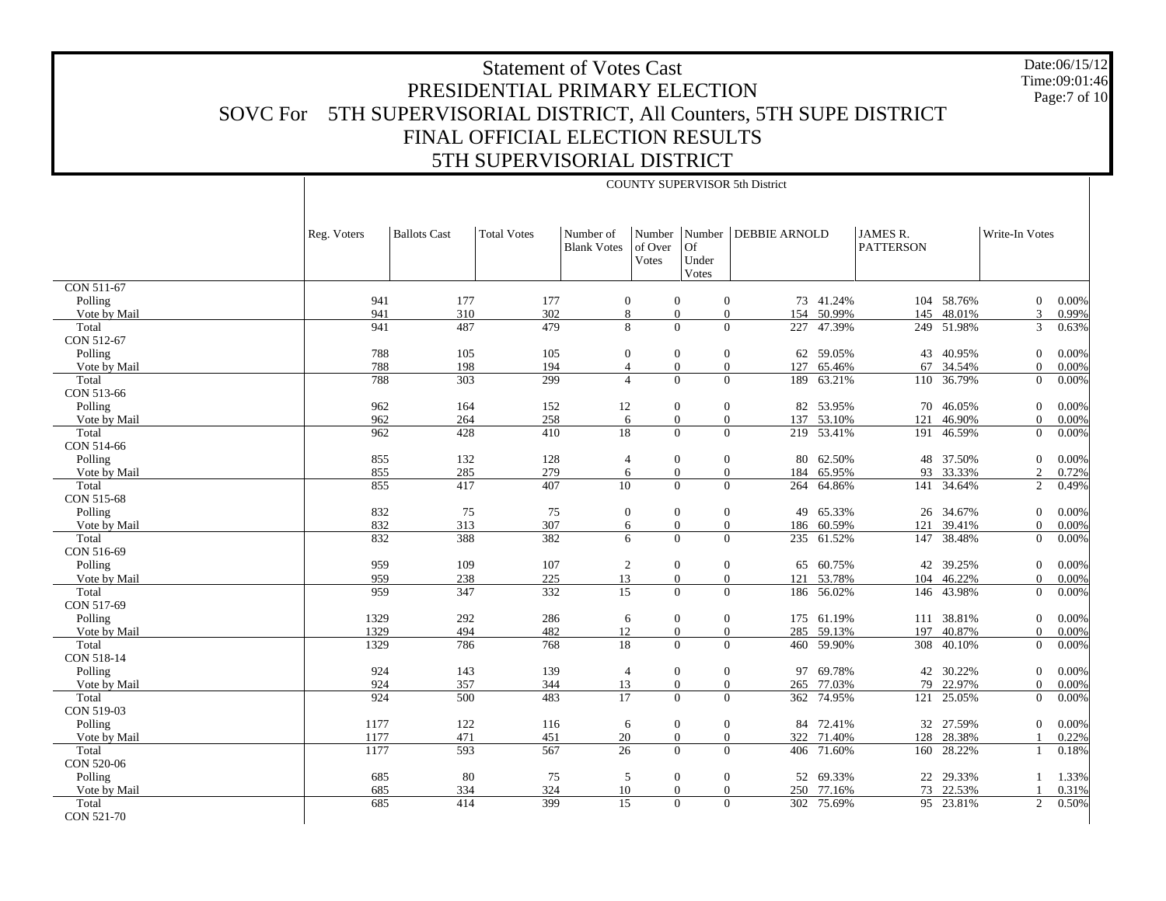Date:06/15/12 Time:09:01:46Page:7 of 10

|                     |             | <b>COUNTY SUPERVISOR 5th District</b> |                    |                                 |                                   |                                              |                      |            |                                     |            |                |       |
|---------------------|-------------|---------------------------------------|--------------------|---------------------------------|-----------------------------------|----------------------------------------------|----------------------|------------|-------------------------------------|------------|----------------|-------|
|                     | Reg. Voters | <b>Ballots Cast</b>                   | <b>Total Votes</b> | Number of<br><b>Blank Votes</b> | Number<br>of Over<br><b>Votes</b> | Number<br><b>Of</b><br>Under<br><b>Votes</b> | <b>DEBBIE ARNOLD</b> |            | <b>JAMES R.</b><br><b>PATTERSON</b> |            | Write-In Votes |       |
| <b>CON 511-67</b>   |             |                                       |                    |                                 |                                   |                                              |                      |            |                                     |            |                |       |
| Polling             | 941         | 177                                   | 177                | $\boldsymbol{0}$                | $\mathbf{0}$                      | $\overline{0}$                               |                      | 73 41.24%  | 104                                 | 58.76%     | $\overline{0}$ | 0.00% |
| Vote by Mail        | 941         | 310                                   | 302                |                                 | 8<br>$\mathbf{0}$                 | $\mathbf{0}$                                 | 154                  | 50.99%     | 145                                 | 48.01%     | 3              | 0.99% |
| Total<br>CON 512-67 | 941         | 487                                   | 479                | 8                               | $\theta$                          | $\overline{0}$                               | 227                  | 47.39%     |                                     | 249 51.98% | 3              | 0.63% |
| Polling             | 788         | 105                                   | 105                |                                 | $\overline{0}$<br>$\mathbf{0}$    | $\mathbf{0}$                                 | 62                   | 59.05%     | 43                                  | 40.95%     | $\overline{0}$ | 0.00% |
| Vote by Mail        | 788         | 198                                   | 194                |                                 | $\overline{0}$<br>$\overline{4}$  | $\overline{0}$                               | 127                  | 65.46%     | 67                                  | 34.54%     | $\Omega$       | 0.00% |
| Total<br>CON 513-66 | 788         | 303                                   | 299                |                                 | $\overline{4}$<br>$\Omega$        | $\overline{0}$                               | 189                  | 63.21%     |                                     | 110 36.79% | $\overline{0}$ | 0.00% |
| Polling             | 962         | 164                                   | 152                | 12                              | $\theta$                          | $\mathbf{0}$                                 | 82                   | 53.95%     | 70                                  | 46.05%     | $\overline{0}$ | 0.00% |
| Vote by Mail        | 962         | 264                                   | 258                | 6                               | $\overline{0}$                    | $\overline{0}$                               | 137                  | 53.10%     | 121                                 | 46.90%     | $\Omega$       | 0.00% |
| Total<br>CON 514-66 | 962         | 428                                   | 410                | 18                              |                                   | $\Omega$<br>$\overline{0}$                   |                      | 219 53.41% |                                     | 191 46.59% | $\overline{0}$ | 0.00% |
| Polling             | 855         | 132                                   | 128                | $\overline{4}$                  | $\theta$                          | $\mathbf{0}$                                 | 80                   | 62.50%     | 48                                  | 37.50%     | $\theta$       | 0.00% |
| Vote by Mail        | 855         | 285                                   | 279                |                                 | $\boldsymbol{0}$<br>6             | $\mathbf{0}$                                 | 184                  | 65.95%     | 93                                  | 33.33%     | 2              | 0.72% |
| Total               | 855         | 417                                   | 407                | 10                              | $\Omega$                          | $\theta$                                     | 264                  | 64.86%     |                                     | 141 34.64% | 2              | 0.49% |
| CON 515-68          |             |                                       |                    |                                 |                                   |                                              |                      |            |                                     |            |                |       |
| Polling             | 832         | 75                                    | 75                 | $\mathbf{0}$                    | $\theta$                          | $\mathbf{0}$                                 | 49                   | 65.33%     |                                     | 26 34.67%  | $\overline{0}$ | 0.00% |
| Vote by Mail        | 832         | 313                                   | 307                |                                 | $\overline{0}$<br>6               | $\overline{0}$                               |                      | 186 60.59% | 121                                 | 39.41%     | $\Omega$       | 0.00% |
| Total<br>CON 516-69 | 832         | 388                                   | 382                | 6                               | $\theta$                          | $\overline{0}$                               | 235                  | 61.52%     | 147                                 | 38.48%     | $\overline{0}$ | 0.00% |
| Polling             | 959         | 109                                   | 107                | $\overline{c}$                  | $\mathbf{0}$                      | $\mathbf{0}$                                 | 65                   | 60.75%     | 42                                  | 39.25%     | $\overline{0}$ | 0.00% |
| Vote by Mail        | 959         | 238                                   | 225                | 13                              | $\overline{0}$                    | $\mathbf{0}$                                 | 121                  | 53.78%     | 104                                 | 46.22%     | $\overline{0}$ | 0.00% |
| Total<br>CON 517-69 | 959         | 347                                   | 332                | $\overline{15}$                 | $\Omega$                          | $\overline{0}$                               | 186                  | 56.02%     | 146                                 | 43.98%     | $\overline{0}$ | 0.00% |
| Polling             | 1329        | 292                                   | 286                | 6                               | $\theta$                          | $\mathbf{0}$                                 |                      | 175 61.19% | 111                                 | 38.81%     | $\theta$       | 0.00% |
| Vote by Mail        | 1329        | 494                                   | 482                | 12                              | $\overline{0}$                    | $\mathbf{0}$                                 | 285                  | 59.13%     | 197                                 | 40.87%     | $\overline{0}$ | 0.00% |
| Total<br>CON 518-14 | 1329        | 786                                   | 768                | 18                              | $\Omega$                          | $\overline{0}$                               | 460                  | 59.90%     | 308                                 | 40.10%     | $\overline{0}$ | 0.00% |
| Polling             | 924         | 143                                   | 139                | $\overline{4}$                  | $\overline{0}$                    | $\mathbf{0}$                                 | 97                   | 69.78%     | 42                                  | 30.22%     | $\overline{0}$ | 0.00% |
| Vote by Mail        | 924         | 357                                   | 344                | 13                              | $\Omega$                          | $\overline{0}$                               | 265                  | 77.03%     | 79                                  | 22.97%     | $\Omega$       | 0.00% |
| Total<br>CON 519-03 | 924         | 500                                   | 483                | 17                              | $\overline{0}$                    | $\overline{0}$                               | 362                  | 74.95%     | 121                                 | 25.05%     | $\overline{0}$ | 0.00% |
|                     |             |                                       |                    |                                 |                                   |                                              |                      |            |                                     |            |                |       |
| Polling             | 1177        | 122                                   | 116                | 6                               | $\mathbf{0}$                      | $\boldsymbol{0}$                             | 84                   | 72.41%     | 32                                  | 27.59%     | $\overline{0}$ | 0.00% |
| Vote by Mail        | 1177        | 471                                   | 451                | 20                              | $\overline{0}$                    | $\overline{0}$                               | 322                  | 71.40%     | 128                                 | 28.38%     |                | 0.22% |
| Total<br>CON 520-06 | 1177        | 593                                   | 567                | 26                              | $\overline{0}$                    | $\mathbf{0}$                                 | 406                  | 71.60%     | 160                                 | 28.22%     |                | 0.18% |
| Polling             | 685         | 80                                    | 75                 | 5                               | $\mathbf{0}$                      | $\mathbf{0}$                                 | 52                   | 69.33%     | 22                                  | 29.33%     |                | 1.33% |
| Vote by Mail        | 685         | 334                                   | 324                | 10                              | $\mathbf{0}$                      | $\overline{0}$                               | 250                  | 77.16%     | 73                                  | 22.53%     |                | 0.31% |
| Total<br>CON 521-70 | 685         | 414                                   | 399                | 15                              | $\Omega$                          | $\overline{0}$                               | 302                  | 75.69%     |                                     | 95 23.81%  | 2              | 0.50% |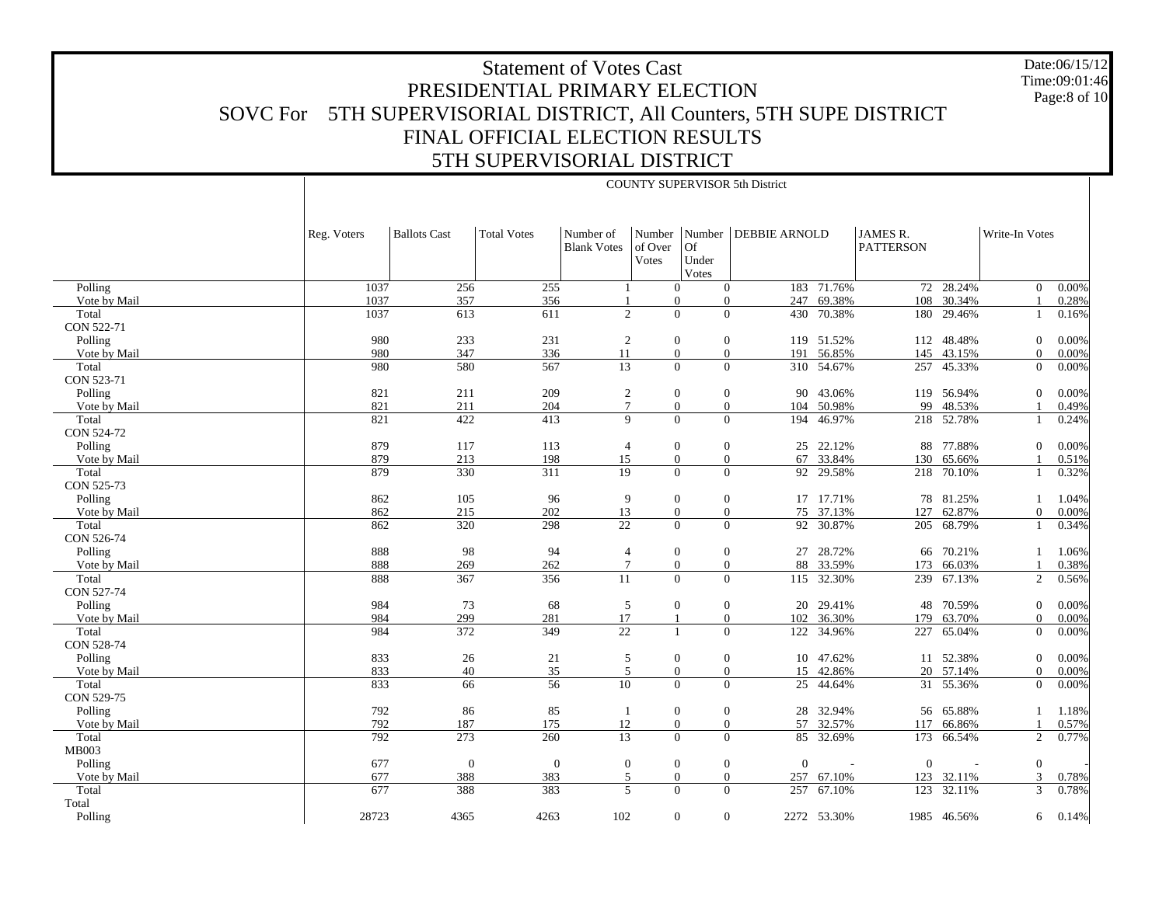Date:06/15/12 Time:09:01:46Page:8 of 10

|              |             | <b>COUNTY SUPERVISOR 5th District</b> |                    |                                 |                                   |                                       |                          |             |                              |             |                |       |
|--------------|-------------|---------------------------------------|--------------------|---------------------------------|-----------------------------------|---------------------------------------|--------------------------|-------------|------------------------------|-------------|----------------|-------|
|              | Reg. Voters | <b>Ballots Cast</b>                   | <b>Total Votes</b> | Number of<br><b>Blank Votes</b> | Number<br>of Over<br><b>Votes</b> | Number<br><b>Of</b><br>Under<br>Votes | <b>DEBBIE ARNOLD</b>     |             | JAMES R.<br><b>PATTERSON</b> |             | Write-In Votes |       |
| Polling      | 1037        | 256                                   | 255                |                                 | $\Omega$                          |                                       | $\overline{0}$           | 183 71.76%  |                              | 72 28.24%   | $\overline{0}$ | 0.00% |
| Vote by Mail | 1037        | 357                                   | 356                |                                 | $\Omega$                          |                                       | 247<br>$\theta$          | 69.38%      | 108                          | 30.34%      |                | 0.28% |
| Total        | 1037        | 613                                   | 611                | $\overline{c}$                  | $\theta$                          |                                       | $\overline{0}$<br>430    | 70.38%      | 180                          | 29.46%      |                | 0.16% |
| CON 522-71   |             |                                       |                    |                                 |                                   |                                       |                          |             |                              |             |                |       |
| Polling      | 980         | 233                                   | 231                | $\sqrt{2}$                      | $\mathbf{0}$                      |                                       | $\mathbf{0}$<br>119      | 51.52%      | 112                          | 48.48%      | $\overline{0}$ | 0.00% |
| Vote by Mail | 980         | 347                                   | 336                | 11                              | $\mathbf{0}$                      |                                       | $\mathbf{0}$<br>191      | 56.85%      | 145                          | 43.15%      | $\overline{0}$ | 0.00% |
| Total        | 980         | 580                                   | 567                | 13                              | $\Omega$                          |                                       | $\overline{0}$<br>310    | 54.67%      | 257                          | 45.33%      | $\overline{0}$ | 0.00% |
| CON 523-71   |             |                                       |                    |                                 |                                   |                                       |                          |             |                              |             |                |       |
| Polling      | 821         | 211                                   | 209                | $\sqrt{2}$                      | $\mathbf{0}$                      |                                       | $\mathbf{0}$<br>90       | 43.06%      | 119                          | 56.94%      | $\overline{0}$ | 0.00% |
| Vote by Mail | 821         | 211                                   | 204                | $\tau$                          | $\theta$                          |                                       | $\overline{0}$<br>104    | 50.98%      | 99                           | 48.53%      |                | 0.49% |
| Total        | 821         | 422                                   | 413                | 9                               | $\Omega$                          |                                       | $\overline{0}$<br>194    | 46.97%      | 218                          | 52.78%      |                | 0.24% |
| CON 524-72   |             |                                       |                    |                                 |                                   |                                       |                          |             |                              |             |                |       |
| Polling      | 879         | 117                                   | 113                | $\overline{4}$                  | $\theta$                          |                                       | $\mathbf{0}$<br>25       | 22.12%      | 88                           | 77.88%      | $\overline{0}$ | 0.00% |
| Vote by Mail | 879         | 213                                   | 198                | 15                              | $\mathbf{0}$                      |                                       | $\overline{0}$<br>67     | 33.84%      | 130                          | 65.66%      |                | 0.51% |
| Total        | 879         | 330                                   | 311                | 19                              |                                   | $\overline{0}$                        | $\overline{0}$<br>92     | 29.58%      | 218                          | 70.10%      |                | 0.32% |
| CON 525-73   |             |                                       |                    |                                 |                                   |                                       |                          |             |                              |             |                |       |
| Polling      | 862         | 105                                   | 96                 | 9                               | $\mathbf{0}$                      |                                       | $\boldsymbol{0}$         | 17 17.71%   | 78                           | 81.25%      | -1             | 1.04% |
| Vote by Mail | 862         | 215                                   | 202                | 13                              | $\theta$                          |                                       | $\overline{0}$<br>75     | 37.13%      | 127                          | 62.87%      | $\overline{0}$ | 0.00% |
| Total        | 862         | 320                                   | 298                | $\overline{22}$                 | $\overline{0}$                    |                                       | $\mathbf{0}$<br>92       | 30.87%      |                              | 205 68.79%  | -1             | 0.34% |
| CON 526-74   |             |                                       |                    |                                 |                                   |                                       |                          |             |                              |             |                |       |
| Polling      | 888         | 98                                    | 94                 | $\overline{4}$                  | $\mathbf{0}$                      |                                       | $\mathbf{0}$<br>27       | 28.72%      |                              | 66 70.21%   |                | 1.06% |
| Vote by Mail | 888         | 269                                   | 262                | $7\phantom{.0}$                 | $\mathbf{0}$                      |                                       | $\mathbf{0}$<br>88       | 33.59%      | 173                          | 66.03%      |                | 0.38% |
| Total        | 888         | 367                                   | 356                | 11                              | $\theta$                          |                                       | $\overline{0}$           | 115 32.30%  |                              | 239 67.13%  | $\overline{2}$ | 0.56% |
| CON 527-74   |             |                                       |                    |                                 |                                   |                                       |                          |             |                              |             |                |       |
| Polling      | 984         | 73                                    | 68                 | 5                               | $\theta$                          |                                       | $\mathbf{0}$<br>20       | 29.41%      | 48                           | 70.59%      | $\mathbf{0}$   | 0.00% |
| Vote by Mail | 984         | 299                                   | 281                | 17                              |                                   |                                       | $\overline{0}$<br>102    | 36.30%      | 179                          | 63.70%      | $\Omega$       | 0.00% |
| Total        | 984         | 372                                   | 349                | $\overline{22}$                 |                                   |                                       | $\overline{0}$           | 122 34.96%  | 227                          | 65.04%      | $\overline{0}$ | 0.00% |
| CON 528-74   |             |                                       |                    |                                 |                                   |                                       |                          |             |                              |             |                |       |
| Polling      | 833         | 26                                    | 21                 | 5                               | $\theta$                          |                                       | $\mathbf{0}$             | 10 47.62%   |                              | 11 52.38%   | $\overline{0}$ | 0.00% |
| Vote by Mail | 833         | $40\,$                                | 35                 | 5                               | $\boldsymbol{0}$                  |                                       | $\mathbf{0}$             | 15 42.86%   |                              | 20 57.14%   | $\overline{0}$ | 0.00% |
| Total        | 833         | 66                                    | 56                 | 10                              | $\Omega$                          |                                       | $\overline{0}$<br>25     | 44.64%      | 31                           | 55.36%      | $\overline{0}$ | 0.00% |
| CON 529-75   |             |                                       |                    |                                 |                                   |                                       |                          |             |                              |             |                |       |
| Polling      | 792         | 86                                    | 85                 | $\mathbf{1}$                    | $\mathbf{0}$                      |                                       | $\mathbf{0}$<br>28       | 32.94%      | 56                           | 65.88%      |                | 1.18% |
| Vote by Mail | 792         | 187                                   | 175                | 12                              | $\theta$                          |                                       | $\mathbf{0}$<br>57       | 32.57%      | 117                          | 66.86%      |                | 0.57% |
| Total        | 792         | 273                                   | 260                | 13                              | $\Omega$                          |                                       | $\theta$<br>85           | 32.69%      | 173                          | 66.54%      | 2              | 0.77% |
| MB003        |             |                                       |                    |                                 |                                   |                                       |                          |             |                              |             |                |       |
| Polling      | 677         | $\mathbf{0}$                          | $\mathbf{0}$       | $\boldsymbol{0}$                | $\mathbf{0}$                      |                                       | $\mathbf{0}$<br>$\Omega$ |             | $\Omega$                     |             | $\overline{0}$ |       |
| Vote by Mail | 677         | 388                                   | 383                | 5<br>5                          | $\mathbf{0}$                      |                                       | $\mathbf{0}$<br>257      | 67.10%      |                              | 123 32.11%  | 3              | 0.78% |
| Total        | 677         | 388                                   | 383                |                                 | $\Omega$                          |                                       | $\overline{0}$<br>257    | 67.10%      | 123                          | 32.11%      | 3              | 0.78% |
| Total        |             |                                       |                    |                                 |                                   |                                       |                          |             |                              |             |                |       |
| Polling      | 28723       | 4365                                  | 4263               | 102                             |                                   | $\overline{0}$                        | $\mathbf{0}$             | 2272 53.30% |                              | 1985 46.56% | 6              | 0.14% |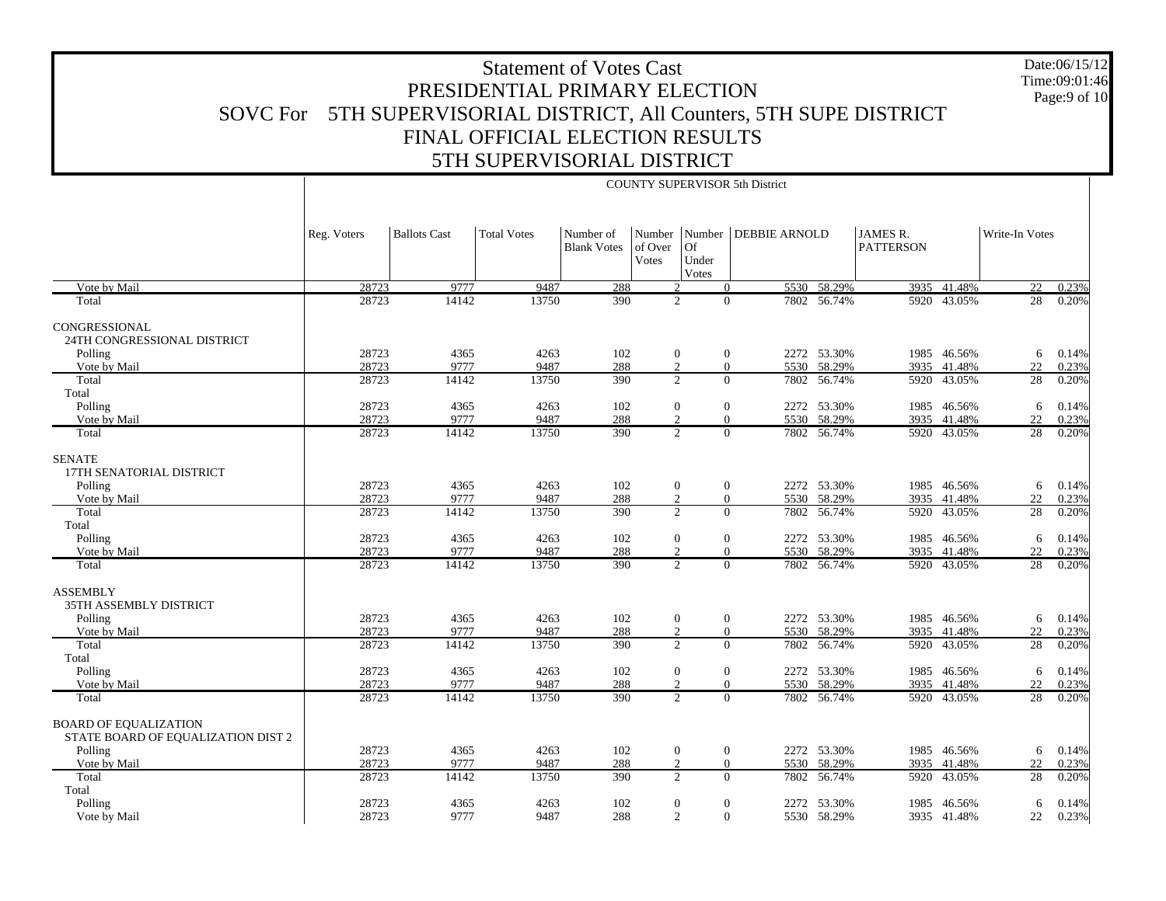Date:06/15/12 Time:09:01:46Page:9 of 10

|                                                                    | <b>COUNTY SUPERVISOR 5th District</b> |                     |                    |                                 |                            |                      |                        |             |                              |             |                 |       |
|--------------------------------------------------------------------|---------------------------------------|---------------------|--------------------|---------------------------------|----------------------------|----------------------|------------------------|-------------|------------------------------|-------------|-----------------|-------|
|                                                                    | Reg. Voters                           | <b>Ballots Cast</b> | <b>Total Votes</b> | Number of<br><b>Blank Votes</b> | Number<br>of Over<br>Votes | Of<br>Under<br>Votes | Number   DEBBIE ARNOLD |             | JAMES R.<br><b>PATTERSON</b> |             | Write-In Votes  |       |
| Vote by Mail                                                       | 28723                                 | 9777                | 9487               | 288                             |                            | 2                    | $\overline{0}$         | 5530 58.29% |                              | 3935 41.48% | 22              | 0.23% |
| Total                                                              | 28723                                 | 14142               | 13750              | 390                             |                            | 2                    | $\theta$               | 7802 56.74% |                              | 5920 43.05% | 28              | 0.20% |
| CONGRESSIONAL<br>24TH CONGRESSIONAL DISTRICT<br>Polling            | 28723                                 | 4365                | 4263               | 102                             |                            | 0                    | $\mathbf{0}$           | 2272 53.30% |                              | 1985 46.56% | 6               | 0.14% |
| Vote by Mail                                                       | 28723                                 | 9777                | 9487               | 288                             |                            | $\overline{2}$       | $\theta$               | 5530 58.29% |                              | 3935 41.48% | 22              | 0.23% |
| Total<br>Total                                                     | 28723                                 | 14142               | 13750              | 390                             |                            | $\overline{2}$       | $\theta$               | 7802 56.74% |                              | 5920 43.05% | 28              | 0.20% |
| Polling                                                            | 28723                                 | 4365                | 4263               | 102                             |                            | $\mathbf{0}$         | $\mathbf{0}$           | 2272 53.30% |                              | 1985 46.56% | 6               | 0.14% |
| Vote by Mail                                                       | 28723                                 | 9777                | 9487               | 288                             |                            | $\mathfrak{D}$       | $\theta$               | 5530 58.29% |                              | 3935 41.48% | 22              | 0.23% |
| Total                                                              | 28723                                 | 14142               | 13750              | 390                             |                            | $\mathfrak{2}$       | $\Omega$               | 7802 56.74% |                              | 5920 43.05% | $\overline{28}$ | 0.20% |
| <b>SENATE</b><br>17TH SENATORIAL DISTRICT                          |                                       |                     |                    |                                 |                            |                      |                        |             |                              |             |                 |       |
| Polling                                                            | 28723                                 | 4365                | 4263               | 102                             |                            | $\mathbf{0}$         | $\mathbf{0}$           | 2272 53.30% |                              | 1985 46.56% | 6               | 0.14% |
| Vote by Mail                                                       | 28723                                 | 9777                | 9487               | 288                             |                            | $\overline{2}$       | $\mathbf{0}$           | 5530 58.29% |                              | 3935 41.48% | 22              | 0.23% |
| Total<br>Total                                                     | 28723                                 | 14142               | 13750              | 390                             |                            | $\overline{2}$       | $\Omega$               | 7802 56.74% |                              | 5920 43.05% | 28              | 0.20% |
| Polling                                                            | 28723                                 | 4365                | 4263               | 102                             |                            | $\overline{0}$       | $\theta$               | 2272 53.30% |                              | 1985 46.56% | 6               | 0.14% |
| Vote by Mail                                                       | 28723                                 | 9777                | 9487               | 288                             |                            | $\overline{c}$       | $\theta$               | 5530 58.29% | 3935                         | 41.48%      | 22              | 0.23% |
| Total                                                              | 28723                                 | 14142               | 13750              | 390                             |                            | $\mathfrak{D}$       | $\Omega$               | 7802 56.74% |                              | 5920 43.05% | 28              | 0.20% |
| <b>ASSEMBLY</b><br>35TH ASSEMBLY DISTRICT                          |                                       |                     |                    |                                 |                            |                      |                        |             |                              |             |                 |       |
| Polling                                                            | 28723                                 | 4365                | 4263               | 102                             |                            | $\overline{0}$       | $\theta$               | 2272 53.30% |                              | 1985 46.56% | 6               | 0.14% |
| Vote by Mail                                                       | 28723                                 | 9777                | 9487               | 288                             |                            | 2                    | $\mathbf{0}$           | 5530 58.29% | 3935                         | 41.48%      | 22              | 0.23% |
| Total<br>Total                                                     | 28723                                 | 14142               | 13750              | 390                             |                            | 2                    | $\theta$<br>7802       | 56.74%      | 5920                         | 43.05%      | 28              | 0.20% |
| Polling                                                            | 28723                                 | 4365                | 4263               | 102                             |                            | $\mathbf{0}$         | $\mathbf{0}$           | 2272 53.30% |                              | 1985 46.56% | 6               | 0.14% |
| Vote by Mail                                                       | 28723                                 | 9777                | 9487               | 288                             |                            | $\mathfrak{D}$       | $\theta$               | 5530 58.29% | 3935                         | 41.48%      | 22              | 0.23% |
| Total                                                              | 28723                                 | 14142               | 13750              | 390                             |                            | $\overline{2}$       | $\overline{0}$         | 7802 56.74% |                              | 5920 43.05% | 28              | 0.20% |
| <b>BOARD OF EQUALIZATION</b><br>STATE BOARD OF EQUALIZATION DIST 2 |                                       |                     |                    |                                 |                            |                      |                        |             |                              |             |                 |       |
| Polling                                                            | 28723                                 | 4365                | 4263               | 102                             |                            | $\mathbf{0}$         | $\mathbf{0}$           | 2272 53.30% |                              | 1985 46.56% | 6               | 0.14% |
| Vote by Mail                                                       | 28723                                 | 9777                | 9487               | 288                             |                            | 2                    | $\theta$               | 5530 58.29% | 3935                         | 41.48%      | 22              | 0.23% |
| Total                                                              | 28723                                 | 14142               | 13750              | 390                             |                            | $\overline{c}$       | $\theta$               | 7802 56.74% | 5920                         | 43.05%      | 28              | 0.20% |
| Total                                                              |                                       |                     |                    |                                 |                            |                      |                        |             |                              |             |                 |       |
| Polling                                                            | 28723                                 | 4365                | 4263               | 102                             |                            | $\overline{0}$       | $\mathbf{0}$           | 2272 53.30% | 1985                         | 46.56%      | 6               | 0.14% |
| Vote by Mail                                                       | 28723                                 | 9777                | 9487               | 288                             |                            | 2                    | $\theta$               | 5530 58.29% |                              | 3935 41.48% | 22              | 0.23% |